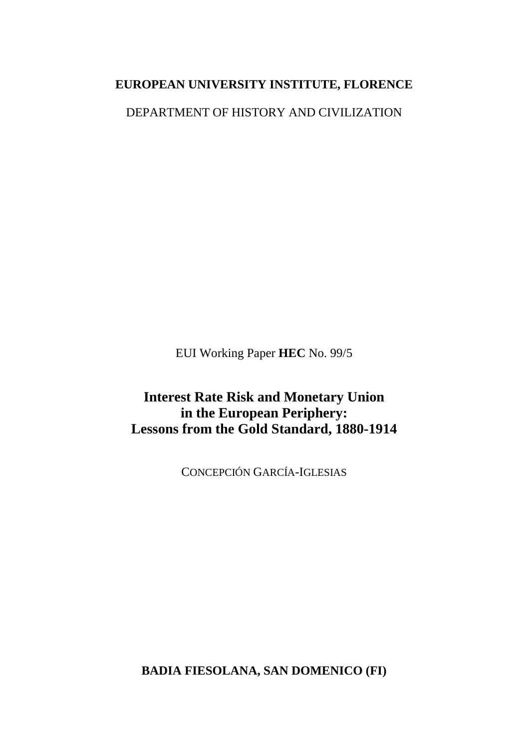# **EUROPEAN UNIVERSITY INSTITUTE, FLORENCE**

DEPARTMENT OF HISTORY AND CIVILIZATION

EUI Working Paper **HEC** No. 99/5

**Interest Rate Risk and Monetary Union in the European Periphery: Lessons from the Gold Standard, 1880-1914**

CONCEPCIÓN GARCÍA-IGLESIAS

**BADIA FIESOLANA, SAN DOMENICO (FI)**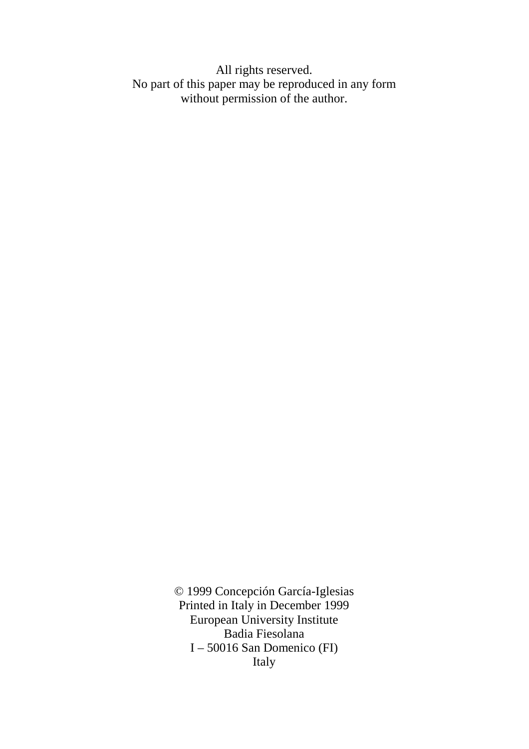All rights reserved. No part of this paper may be reproduced in any form without permission of the author.

> © 1999 Concepción García-Iglesias Printed in Italy in December 1999 European University Institute Badia Fiesolana I – 50016 San Domenico (FI) Italy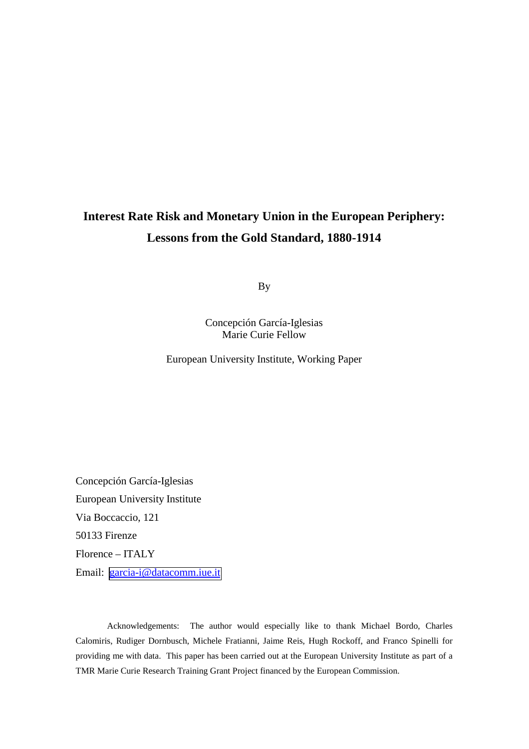# **Interest Rate Risk and Monetary Union in the European Periphery: Lessons from the Gold Standard, 1880-1914**

By

Concepción García-Iglesias Marie Curie Fellow

European University Institute, Working Paper

Concepción García-Iglesias European University Institute Via Boccaccio, 121 50133 Firenze Florence – ITALY Email: [garcia-i@datacomm.iue.it](mailto:garcia-i@datacomm.iue.it)

Acknowledgements: The author would especially like to thank Michael Bordo, Charles Calomiris, Rudiger Dornbusch, Michele Fratianni, Jaime Reis, Hugh Rockoff, and Franco Spinelli for providing me with data. This paper has been carried out at the European University Institute as part of a TMR Marie Curie Research Training Grant Project financed by the European Commission.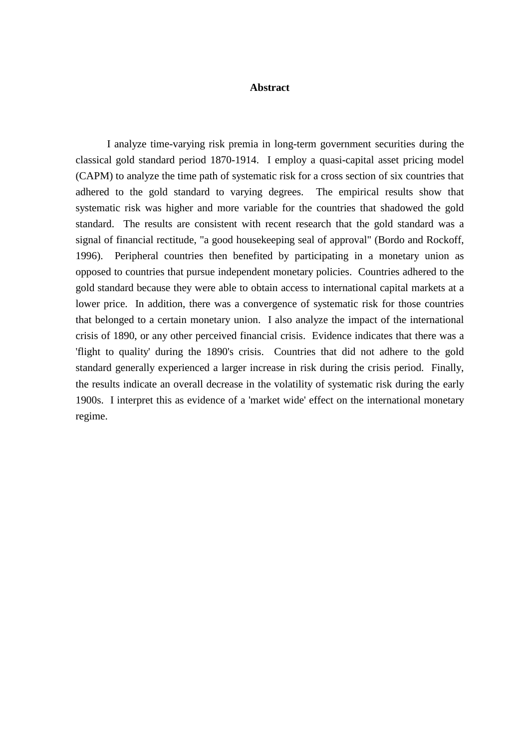# **Abstract**

I analyze time-varying risk premia in long-term government securities during the classical gold standard period 1870-1914. I employ a quasi-capital asset pricing model (CAPM) to analyze the time path of systematic risk for a cross section of six countries that adhered to the gold standard to varying degrees. The empirical results show that systematic risk was higher and more variable for the countries that shadowed the gold standard. The results are consistent with recent research that the gold standard was a signal of financial rectitude, "a good housekeeping seal of approval" (Bordo and Rockoff, 1996). Peripheral countries then benefited by participating in a monetary union as opposed to countries that pursue independent monetary policies. Countries adhered to the gold standard because they were able to obtain access to international capital markets at a lower price. In addition, there was a convergence of systematic risk for those countries that belonged to a certain monetary union. I also analyze the impact of the international crisis of 1890, or any other perceived financial crisis. Evidence indicates that there was a 'flight to quality' during the 1890's crisis. Countries that did not adhere to the gold standard generally experienced a larger increase in risk during the crisis period. Finally, the results indicate an overall decrease in the volatility of systematic risk during the early 1900s. I interpret this as evidence of a 'market wide' effect on the international monetary regime.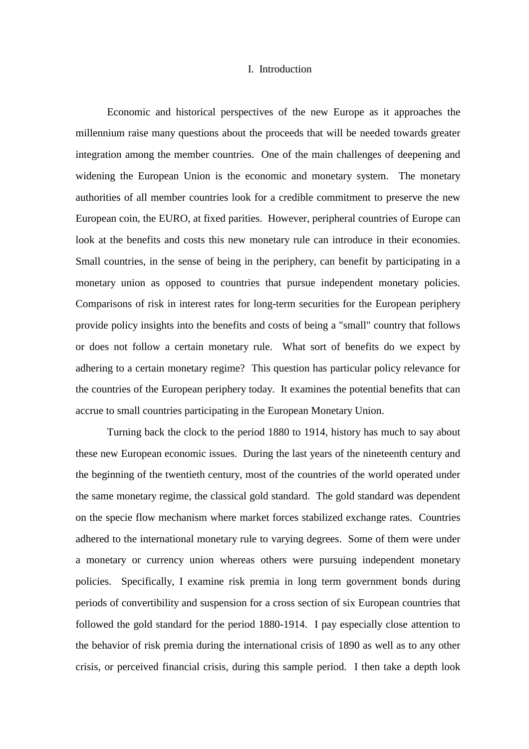# I. Introduction

Economic and historical perspectives of the new Europe as it approaches the millennium raise many questions about the proceeds that will be needed towards greater integration among the member countries. One of the main challenges of deepening and widening the European Union is the economic and monetary system. The monetary authorities of all member countries look for a credible commitment to preserve the new European coin, the EURO, at fixed parities. However, peripheral countries of Europe can look at the benefits and costs this new monetary rule can introduce in their economies. Small countries, in the sense of being in the periphery, can benefit by participating in a monetary union as opposed to countries that pursue independent monetary policies. Comparisons of risk in interest rates for long-term securities for the European periphery provide policy insights into the benefits and costs of being a "small" country that follows or does not follow a certain monetary rule. What sort of benefits do we expect by adhering to a certain monetary regime? This question has particular policy relevance for the countries of the European periphery today. It examines the potential benefits that can accrue to small countries participating in the European Monetary Union.

Turning back the clock to the period 1880 to 1914, history has much to say about these new European economic issues. During the last years of the nineteenth century and the beginning of the twentieth century, most of the countries of the world operated under the same monetary regime, the classical gold standard. The gold standard was dependent on the specie flow mechanism where market forces stabilized exchange rates. Countries adhered to the international monetary rule to varying degrees. Some of them were under a monetary or currency union whereas others were pursuing independent monetary policies. Specifically, I examine risk premia in long term government bonds during periods of convertibility and suspension for a cross section of six European countries that followed the gold standard for the period 1880-1914. I pay especially close attention to the behavior of risk premia during the international crisis of 1890 as well as to any other crisis, or perceived financial crisis, during this sample period. I then take a depth look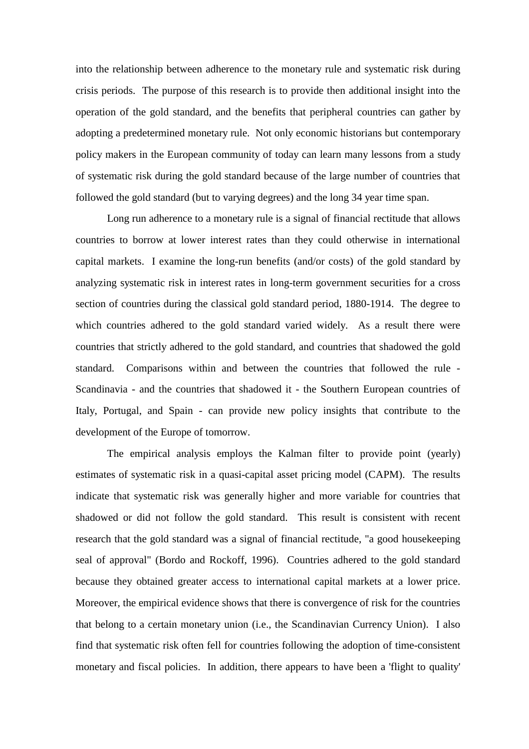into the relationship between adherence to the monetary rule and systematic risk during crisis periods. The purpose of this research is to provide then additional insight into the operation of the gold standard, and the benefits that peripheral countries can gather by adopting a predetermined monetary rule. Not only economic historians but contemporary policy makers in the European community of today can learn many lessons from a study of systematic risk during the gold standard because of the large number of countries that followed the gold standard (but to varying degrees) and the long 34 year time span.

Long run adherence to a monetary rule is a signal of financial rectitude that allows countries to borrow at lower interest rates than they could otherwise in international capital markets. I examine the long-run benefits (and/or costs) of the gold standard by analyzing systematic risk in interest rates in long-term government securities for a cross section of countries during the classical gold standard period, 1880-1914. The degree to which countries adhered to the gold standard varied widely. As a result there were countries that strictly adhered to the gold standard, and countries that shadowed the gold standard. Comparisons within and between the countries that followed the rule - Scandinavia - and the countries that shadowed it - the Southern European countries of Italy, Portugal, and Spain - can provide new policy insights that contribute to the development of the Europe of tomorrow.

The empirical analysis employs the Kalman filter to provide point (yearly) estimates of systematic risk in a quasi-capital asset pricing model (CAPM). The results indicate that systematic risk was generally higher and more variable for countries that shadowed or did not follow the gold standard. This result is consistent with recent research that the gold standard was a signal of financial rectitude, "a good housekeeping seal of approval" (Bordo and Rockoff, 1996). Countries adhered to the gold standard because they obtained greater access to international capital markets at a lower price. Moreover, the empirical evidence shows that there is convergence of risk for the countries that belong to a certain monetary union (i.e., the Scandinavian Currency Union). I also find that systematic risk often fell for countries following the adoption of time-consistent monetary and fiscal policies. In addition, there appears to have been a 'flight to quality'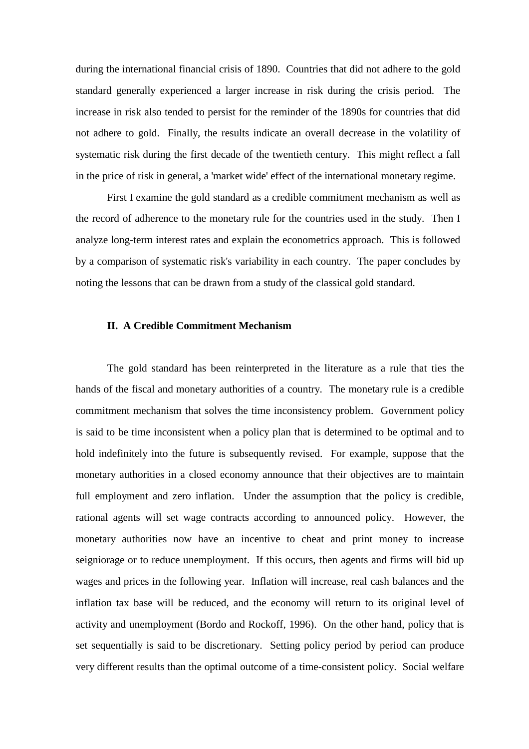during the international financial crisis of 1890. Countries that did not adhere to the gold standard generally experienced a larger increase in risk during the crisis period. The increase in risk also tended to persist for the reminder of the 1890s for countries that did not adhere to gold. Finally, the results indicate an overall decrease in the volatility of systematic risk during the first decade of the twentieth century. This might reflect a fall in the price of risk in general, a 'market wide' effect of the international monetary regime.

First I examine the gold standard as a credible commitment mechanism as well as the record of adherence to the monetary rule for the countries used in the study. Then I analyze long-term interest rates and explain the econometrics approach. This is followed by a comparison of systematic risk's variability in each country. The paper concludes by noting the lessons that can be drawn from a study of the classical gold standard.

#### **II. A Credible Commitment Mechanism**

The gold standard has been reinterpreted in the literature as a rule that ties the hands of the fiscal and monetary authorities of a country. The monetary rule is a credible commitment mechanism that solves the time inconsistency problem. Government policy is said to be time inconsistent when a policy plan that is determined to be optimal and to hold indefinitely into the future is subsequently revised. For example, suppose that the monetary authorities in a closed economy announce that their objectives are to maintain full employment and zero inflation. Under the assumption that the policy is credible, rational agents will set wage contracts according to announced policy. However, the monetary authorities now have an incentive to cheat and print money to increase seigniorage or to reduce unemployment. If this occurs, then agents and firms will bid up wages and prices in the following year. Inflation will increase, real cash balances and the inflation tax base will be reduced, and the economy will return to its original level of activity and unemployment (Bordo and Rockoff, 1996). On the other hand, policy that is set sequentially is said to be discretionary. Setting policy period by period can produce very different results than the optimal outcome of a time-consistent policy. Social welfare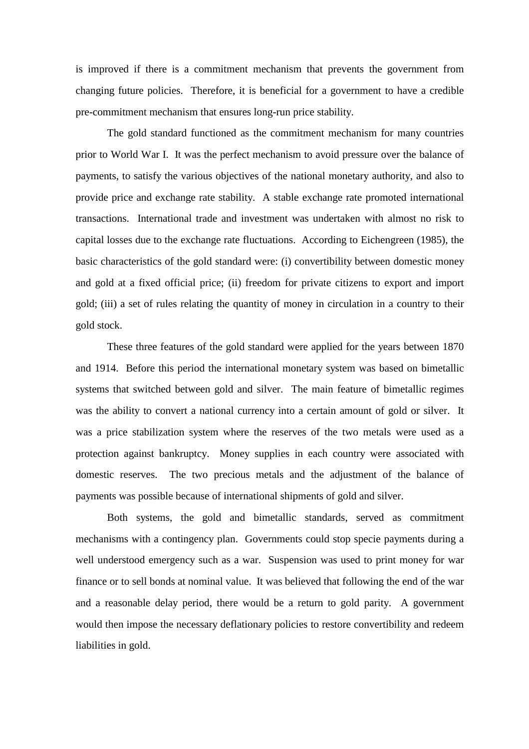is improved if there is a commitment mechanism that prevents the government from changing future policies. Therefore, it is beneficial for a government to have a credible pre-commitment mechanism that ensures long-run price stability.

The gold standard functioned as the commitment mechanism for many countries prior to World War I. It was the perfect mechanism to avoid pressure over the balance of payments, to satisfy the various objectives of the national monetary authority, and also to provide price and exchange rate stability. A stable exchange rate promoted international transactions. International trade and investment was undertaken with almost no risk to capital losses due to the exchange rate fluctuations. According to Eichengreen (1985), the basic characteristics of the gold standard were: (i) convertibility between domestic money and gold at a fixed official price; (ii) freedom for private citizens to export and import gold; (iii) a set of rules relating the quantity of money in circulation in a country to their gold stock.

These three features of the gold standard were applied for the years between 1870 and 1914. Before this period the international monetary system was based on bimetallic systems that switched between gold and silver. The main feature of bimetallic regimes was the ability to convert a national currency into a certain amount of gold or silver. It was a price stabilization system where the reserves of the two metals were used as a protection against bankruptcy. Money supplies in each country were associated with domestic reserves. The two precious metals and the adjustment of the balance of payments was possible because of international shipments of gold and silver.

Both systems, the gold and bimetallic standards, served as commitment mechanisms with a contingency plan. Governments could stop specie payments during a well understood emergency such as a war. Suspension was used to print money for war finance or to sell bonds at nominal value. It was believed that following the end of the war and a reasonable delay period, there would be a return to gold parity. A government would then impose the necessary deflationary policies to restore convertibility and redeem liabilities in gold.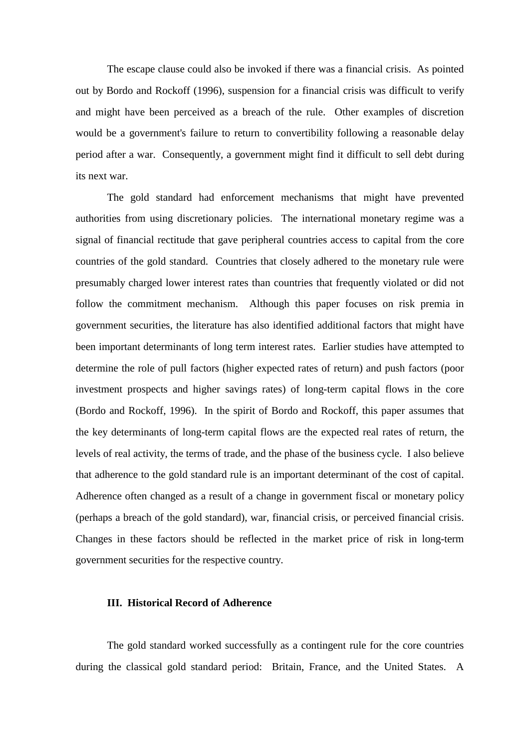The escape clause could also be invoked if there was a financial crisis. As pointed out by Bordo and Rockoff (1996), suspension for a financial crisis was difficult to verify and might have been perceived as a breach of the rule. Other examples of discretion would be a government's failure to return to convertibility following a reasonable delay period after a war. Consequently, a government might find it difficult to sell debt during its next war.

The gold standard had enforcement mechanisms that might have prevented authorities from using discretionary policies. The international monetary regime was a signal of financial rectitude that gave peripheral countries access to capital from the core countries of the gold standard. Countries that closely adhered to the monetary rule were presumably charged lower interest rates than countries that frequently violated or did not follow the commitment mechanism. Although this paper focuses on risk premia in government securities, the literature has also identified additional factors that might have been important determinants of long term interest rates. Earlier studies have attempted to determine the role of pull factors (higher expected rates of return) and push factors (poor investment prospects and higher savings rates) of long-term capital flows in the core (Bordo and Rockoff, 1996). In the spirit of Bordo and Rockoff, this paper assumes that the key determinants of long-term capital flows are the expected real rates of return, the levels of real activity, the terms of trade, and the phase of the business cycle. I also believe that adherence to the gold standard rule is an important determinant of the cost of capital. Adherence often changed as a result of a change in government fiscal or monetary policy (perhaps a breach of the gold standard), war, financial crisis, or perceived financial crisis. Changes in these factors should be reflected in the market price of risk in long-term government securities for the respective country.

# **III. Historical Record of Adherence**

The gold standard worked successfully as a contingent rule for the core countries during the classical gold standard period: Britain, France, and the United States. A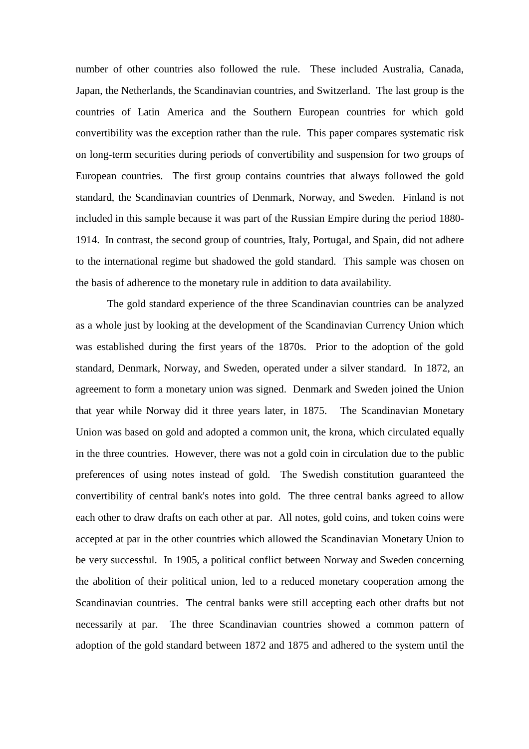number of other countries also followed the rule. These included Australia, Canada, Japan, the Netherlands, the Scandinavian countries, and Switzerland. The last group is the countries of Latin America and the Southern European countries for which gold convertibility was the exception rather than the rule. This paper compares systematic risk on long-term securities during periods of convertibility and suspension for two groups of European countries. The first group contains countries that always followed the gold standard, the Scandinavian countries of Denmark, Norway, and Sweden. Finland is not included in this sample because it was part of the Russian Empire during the period 1880- 1914. In contrast, the second group of countries, Italy, Portugal, and Spain, did not adhere to the international regime but shadowed the gold standard. This sample was chosen on the basis of adherence to the monetary rule in addition to data availability.

The gold standard experience of the three Scandinavian countries can be analyzed as a whole just by looking at the development of the Scandinavian Currency Union which was established during the first years of the 1870s. Prior to the adoption of the gold standard, Denmark, Norway, and Sweden, operated under a silver standard. In 1872, an agreement to form a monetary union was signed. Denmark and Sweden joined the Union that year while Norway did it three years later, in 1875. The Scandinavian Monetary Union was based on gold and adopted a common unit, the krona, which circulated equally in the three countries. However, there was not a gold coin in circulation due to the public preferences of using notes instead of gold. The Swedish constitution guaranteed the convertibility of central bank's notes into gold. The three central banks agreed to allow each other to draw drafts on each other at par. All notes, gold coins, and token coins were accepted at par in the other countries which allowed the Scandinavian Monetary Union to be very successful. In 1905, a political conflict between Norway and Sweden concerning the abolition of their political union, led to a reduced monetary cooperation among the Scandinavian countries. The central banks were still accepting each other drafts but not necessarily at par. The three Scandinavian countries showed a common pattern of adoption of the gold standard between 1872 and 1875 and adhered to the system until the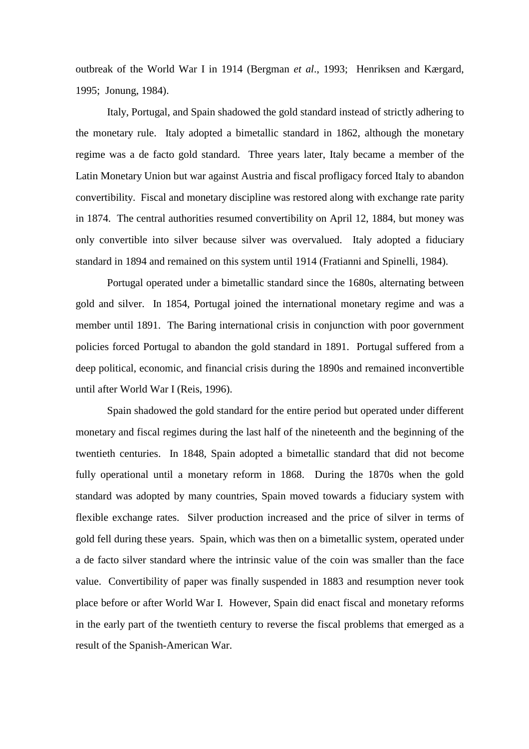outbreak of the World War I in 1914 (Bergman *et al*., 1993; Henriksen and Kærgard, 1995; Jonung, 1984).

Italy, Portugal, and Spain shadowed the gold standard instead of strictly adhering to the monetary rule. Italy adopted a bimetallic standard in 1862, although the monetary regime was a de facto gold standard. Three years later, Italy became a member of the Latin Monetary Union but war against Austria and fiscal profligacy forced Italy to abandon convertibility. Fiscal and monetary discipline was restored along with exchange rate parity in 1874. The central authorities resumed convertibility on April 12, 1884, but money was only convertible into silver because silver was overvalued. Italy adopted a fiduciary standard in 1894 and remained on this system until 1914 (Fratianni and Spinelli, 1984).

Portugal operated under a bimetallic standard since the 1680s, alternating between gold and silver. In 1854, Portugal joined the international monetary regime and was a member until 1891. The Baring international crisis in conjunction with poor government policies forced Portugal to abandon the gold standard in 1891. Portugal suffered from a deep political, economic, and financial crisis during the 1890s and remained inconvertible until after World War I (Reis, 1996).

Spain shadowed the gold standard for the entire period but operated under different monetary and fiscal regimes during the last half of the nineteenth and the beginning of the twentieth centuries. In 1848, Spain adopted a bimetallic standard that did not become fully operational until a monetary reform in 1868. During the 1870s when the gold standard was adopted by many countries, Spain moved towards a fiduciary system with flexible exchange rates. Silver production increased and the price of silver in terms of gold fell during these years. Spain, which was then on a bimetallic system, operated under a de facto silver standard where the intrinsic value of the coin was smaller than the face value. Convertibility of paper was finally suspended in 1883 and resumption never took place before or after World War I. However, Spain did enact fiscal and monetary reforms in the early part of the twentieth century to reverse the fiscal problems that emerged as a result of the Spanish-American War.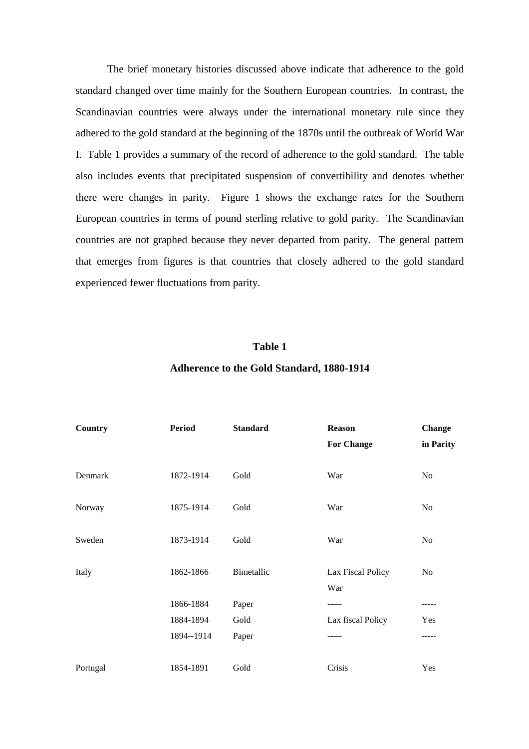The brief monetary histories discussed above indicate that adherence to the gold standard changed over time mainly for the Southern European countries. In contrast, the Scandinavian countries were always under the international monetary rule since they adhered to the gold standard at the beginning of the 1870s until the outbreak of World War I. Table 1 provides a summary of the record of adherence to the gold standard. The table also includes events that precipitated suspension of convertibility and denotes whether there were changes in parity. Figure 1 shows the exchange rates for the Southern European countries in terms of pound sterling relative to gold parity. The Scandinavian countries are not graphed because they never departed from parity. The general pattern that emerges from figures is that countries that closely adhered to the gold standard experienced fewer fluctuations from parity.

# **Table 1**

# **Adherence to the Gold Standard, 1880-1914**

| Country  | <b>Period</b> | <b>Standard</b> | <b>Reason</b><br><b>For Change</b> | <b>Change</b><br>in Parity |
|----------|---------------|-----------------|------------------------------------|----------------------------|
| Denmark  | 1872-1914     | Gold            | War                                | N <sub>o</sub>             |
| Norway   | 1875-1914     | Gold            | War                                | N <sub>0</sub>             |
| Sweden   | 1873-1914     | Gold            | War                                | No                         |
| Italy    | 1862-1866     | Bimetallic      | Lax Fiscal Policy<br>War           | No                         |
|          | 1866-1884     | Paper           |                                    | -----                      |
|          | 1884-1894     | Gold            | Lax fiscal Policy                  | Yes                        |
|          | 1894--1914    | Paper           |                                    | -----                      |
| Portugal | 1854-1891     | Gold            | Crisis                             | Yes                        |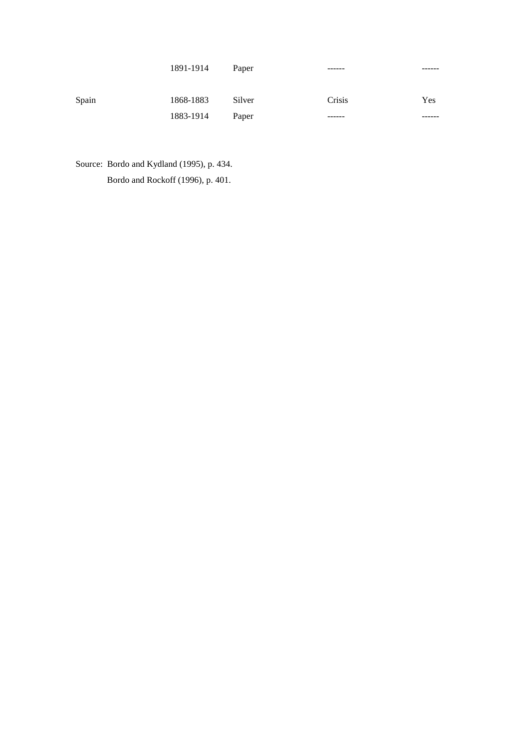|       | 1891-1914 | Paper  | ------ | ------ |
|-------|-----------|--------|--------|--------|
| Spain | 1868-1883 | Silver | Crisis | Yes    |
|       | 1883-1914 | Paper  | ------ |        |

Source: Bordo and Kydland (1995), p. 434. Bordo and Rockoff (1996), p. 401.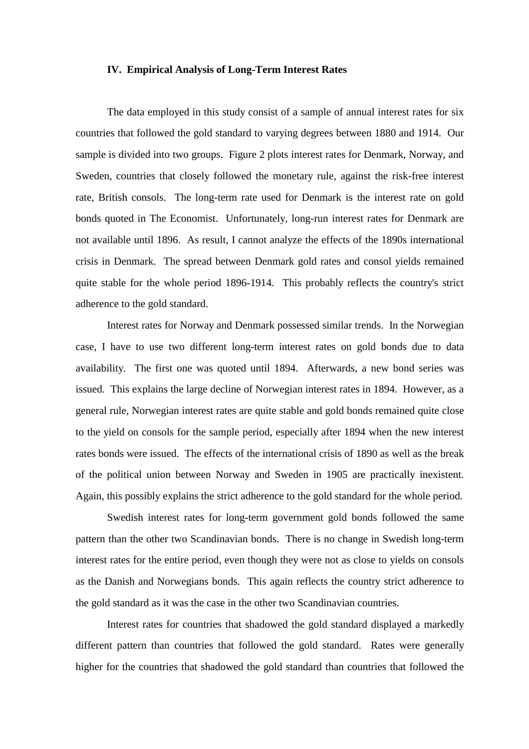#### **IV. Empirical Analysis of Long-Term Interest Rates**

The data employed in this study consist of a sample of annual interest rates for six countries that followed the gold standard to varying degrees between 1880 and 1914. Our sample is divided into two groups. Figure 2 plots interest rates for Denmark, Norway, and Sweden, countries that closely followed the monetary rule, against the risk-free interest rate, British consols. The long-term rate used for Denmark is the interest rate on gold bonds quoted in The Economist. Unfortunately, long-run interest rates for Denmark are not available until 1896. As result, I cannot analyze the effects of the 1890s international crisis in Denmark. The spread between Denmark gold rates and consol yields remained quite stable for the whole period 1896-1914. This probably reflects the country's strict adherence to the gold standard.

Interest rates for Norway and Denmark possessed similar trends. In the Norwegian case, I have to use two different long-term interest rates on gold bonds due to data availability. The first one was quoted until 1894. Afterwards, a new bond series was issued. This explains the large decline of Norwegian interest rates in 1894. However, as a general rule, Norwegian interest rates are quite stable and gold bonds remained quite close to the yield on consols for the sample period, especially after 1894 when the new interest rates bonds were issued. The effects of the international crisis of 1890 as well as the break of the political union between Norway and Sweden in 1905 are practically inexistent. Again, this possibly explains the strict adherence to the gold standard for the whole period.

Swedish interest rates for long-term government gold bonds followed the same pattern than the other two Scandinavian bonds. There is no change in Swedish long-term interest rates for the entire period, even though they were not as close to yields on consols as the Danish and Norwegians bonds. This again reflects the country strict adherence to the gold standard as it was the case in the other two Scandinavian countries.

Interest rates for countries that shadowed the gold standard displayed a markedly different pattern than countries that followed the gold standard. Rates were generally higher for the countries that shadowed the gold standard than countries that followed the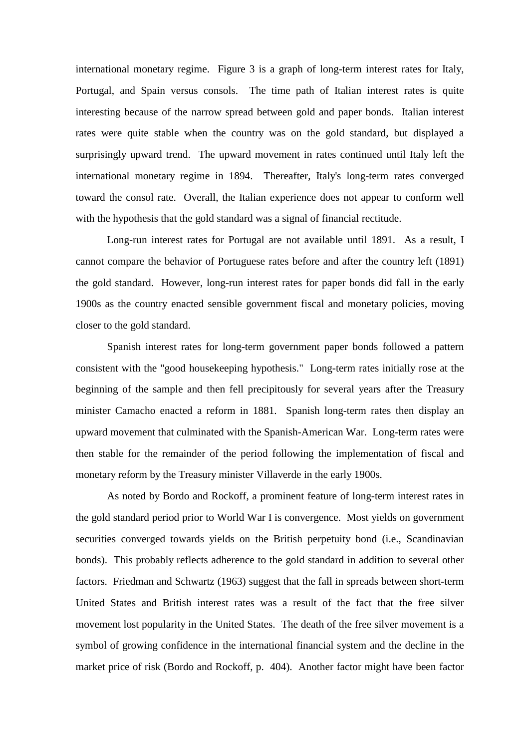international monetary regime. Figure 3 is a graph of long-term interest rates for Italy, Portugal, and Spain versus consols. The time path of Italian interest rates is quite interesting because of the narrow spread between gold and paper bonds. Italian interest rates were quite stable when the country was on the gold standard, but displayed a surprisingly upward trend. The upward movement in rates continued until Italy left the international monetary regime in 1894. Thereafter, Italy's long-term rates converged toward the consol rate. Overall, the Italian experience does not appear to conform well with the hypothesis that the gold standard was a signal of financial rectitude.

Long-run interest rates for Portugal are not available until 1891. As a result, I cannot compare the behavior of Portuguese rates before and after the country left (1891) the gold standard. However, long-run interest rates for paper bonds did fall in the early 1900s as the country enacted sensible government fiscal and monetary policies, moving closer to the gold standard.

Spanish interest rates for long-term government paper bonds followed a pattern consistent with the "good housekeeping hypothesis." Long-term rates initially rose at the beginning of the sample and then fell precipitously for several years after the Treasury minister Camacho enacted a reform in 1881. Spanish long-term rates then display an upward movement that culminated with the Spanish-American War. Long-term rates were then stable for the remainder of the period following the implementation of fiscal and monetary reform by the Treasury minister Villaverde in the early 1900s.

As noted by Bordo and Rockoff, a prominent feature of long-term interest rates in the gold standard period prior to World War I is convergence. Most yields on government securities converged towards yields on the British perpetuity bond (i.e., Scandinavian bonds). This probably reflects adherence to the gold standard in addition to several other factors. Friedman and Schwartz (1963) suggest that the fall in spreads between short-term United States and British interest rates was a result of the fact that the free silver movement lost popularity in the United States. The death of the free silver movement is a symbol of growing confidence in the international financial system and the decline in the market price of risk (Bordo and Rockoff, p. 404). Another factor might have been factor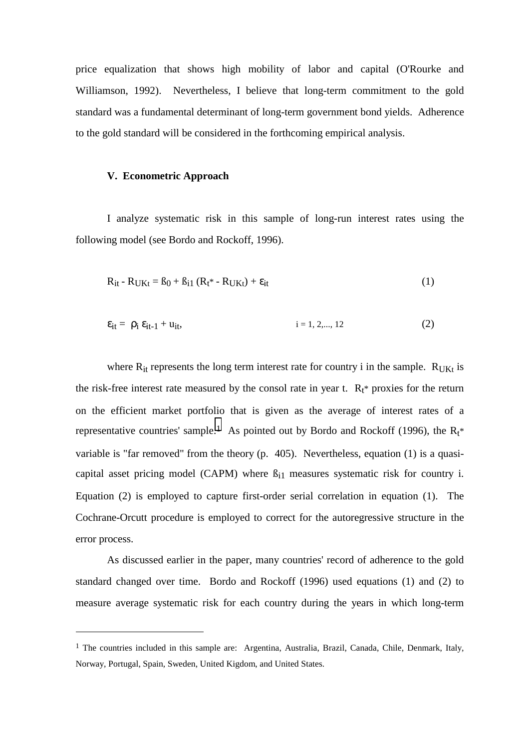price equalization that shows high mobility of labor and capital (O'Rourke and Williamson, 1992). Nevertheless, I believe that long-term commitment to the gold standard was a fundamental determinant of long-term government bond yields. Adherence to the gold standard will be considered in the forthcoming empirical analysis.

#### **V. Econometric Approach**

 $\overline{a}$ 

I analyze systematic risk in this sample of long-run interest rates using the following model (see Bordo and Rockoff, 1996).

$$
R_{it} - R_{UKt} = \beta_0 + \beta_{i1} (R_t^* - R_{UKt}) + \varepsilon_{it}
$$
 (1)

$$
\varepsilon_{it} = \rho_i \, \varepsilon_{it-1} + u_{it}, \qquad i = 1, 2, ..., 12 \tag{2}
$$

where  $R_{it}$  represents the long term interest rate for country i in the sample.  $R_{IJKt}$  is the risk-free interest rate measured by the consol rate in year t.  $R_t^*$  proxies for the return on the efficient market portfolio that is given as the average of interest rates of a representative countries' sample.<sup>1</sup> As pointed out by Bordo and Rockoff (1996), the  $R_t^*$ variable is "far removed" from the theory (p. 405). Nevertheless, equation (1) is a quasicapital asset pricing model (CAPM) where  $\beta_{i1}$  measures systematic risk for country i. Equation (2) is employed to capture first-order serial correlation in equation (1). The Cochrane-Orcutt procedure is employed to correct for the autoregressive structure in the error process.

As discussed earlier in the paper, many countries' record of adherence to the gold standard changed over time. Bordo and Rockoff (1996) used equations (1) and (2) to measure average systematic risk for each country during the years in which long-term

<sup>&</sup>lt;sup>1</sup> The countries included in this sample are: Argentina, Australia, Brazil, Canada, Chile, Denmark, Italy, Norway, Portugal, Spain, Sweden, United Kigdom, and United States.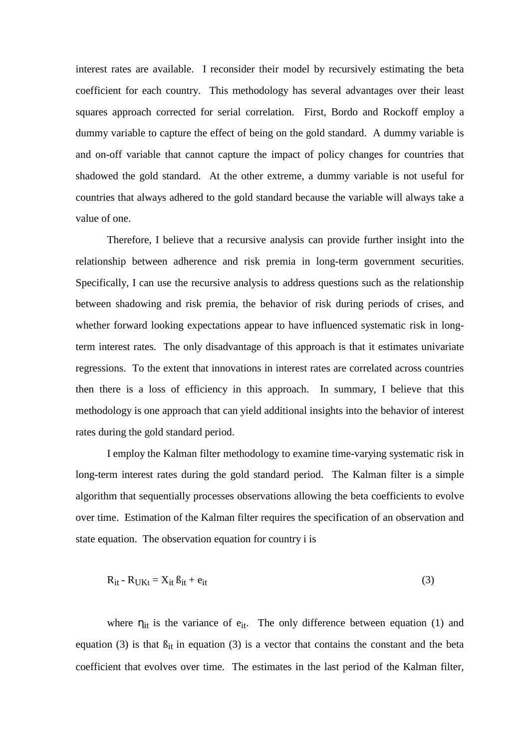interest rates are available. I reconsider their model by recursively estimating the beta coefficient for each country. This methodology has several advantages over their least squares approach corrected for serial correlation. First, Bordo and Rockoff employ a dummy variable to capture the effect of being on the gold standard. A dummy variable is and on-off variable that cannot capture the impact of policy changes for countries that shadowed the gold standard. At the other extreme, a dummy variable is not useful for countries that always adhered to the gold standard because the variable will always take a value of one.

Therefore, I believe that a recursive analysis can provide further insight into the relationship between adherence and risk premia in long-term government securities. Specifically, I can use the recursive analysis to address questions such as the relationship between shadowing and risk premia, the behavior of risk during periods of crises, and whether forward looking expectations appear to have influenced systematic risk in longterm interest rates. The only disadvantage of this approach is that it estimates univariate regressions. To the extent that innovations in interest rates are correlated across countries then there is a loss of efficiency in this approach. In summary, I believe that this methodology is one approach that can yield additional insights into the behavior of interest rates during the gold standard period.

I employ the Kalman filter methodology to examine time-varying systematic risk in long-term interest rates during the gold standard period. The Kalman filter is a simple algorithm that sequentially processes observations allowing the beta coefficients to evolve over time. Estimation of the Kalman filter requires the specification of an observation and state equation. The observation equation for country i is

$$
R_{it} - R_{UKt} = X_{it} \beta_{it} + e_{it}
$$
 (3)

where  $\eta_{it}$  is the variance of  $e_{it}$ . The only difference between equation (1) and equation (3) is that  $\beta_{it}$  in equation (3) is a vector that contains the constant and the beta coefficient that evolves over time. The estimates in the last period of the Kalman filter,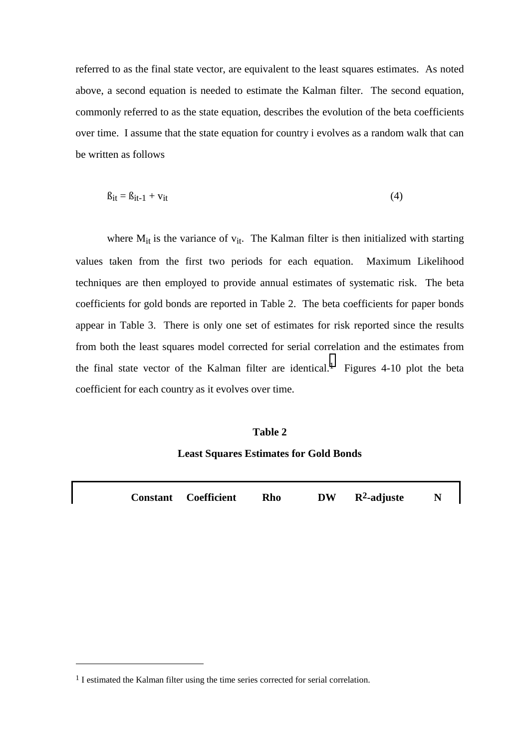referred to as the final state vector, are equivalent to the least squares estimates. As noted above, a second equation is needed to estimate the Kalman filter. The second equation, commonly referred to as the state equation, describes the evolution of the beta coefficients over time. I assume that the state equation for country i evolves as a random walk that can be written as follows

$$
\beta_{it} = \beta_{it-1} + v_{it} \tag{4}
$$

where  $M_{it}$  is the variance of  $v_{it}$ . The Kalman filter is then initialized with starting values taken from the first two periods for each equation. Maximum Likelihood techniques are then employed to provide annual estimates of systematic risk. The beta coefficients for gold bonds are reported in Table 2. The beta coefficients for paper bonds appear in Table 3. There is only one set of estimates for risk reported since the results from both the least squares model corrected for serial correlation and the estimates from the final state vector of the Kalman filter are identical.<sup>1</sup> Figures 4-10 plot the beta coefficient for each country as it evolves over time.

# **Table 2**

# **Least Squares Estimates for Gold Bonds**

**Constant Coefficient Rho DW R2-adjuste N**

 $\overline{a}$ 

<sup>&</sup>lt;sup>1</sup> I estimated the Kalman filter using the time series corrected for serial correlation.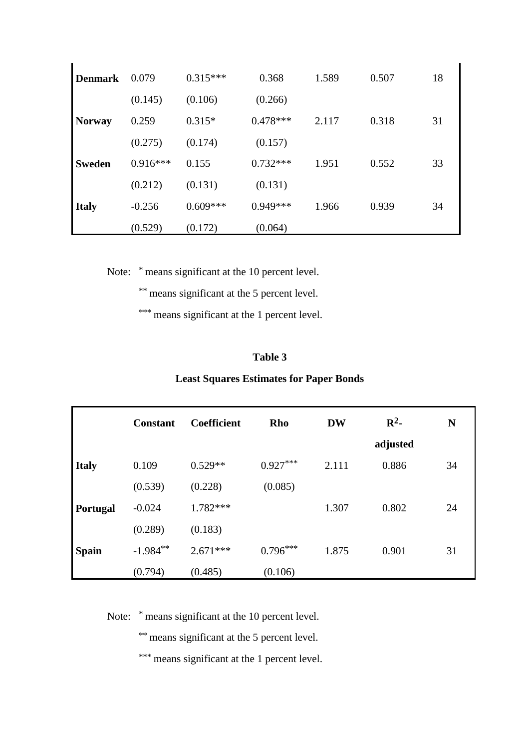| <b>Denmark</b> | 0.079      | $0.315***$ | 0.368      | 1.589 | 0.507 | 18 |
|----------------|------------|------------|------------|-------|-------|----|
|                | (0.145)    | (0.106)    | (0.266)    |       |       |    |
| <b>Norway</b>  | 0.259      | $0.315*$   | $0.478***$ | 2.117 | 0.318 | 31 |
|                | (0.275)    | (0.174)    | (0.157)    |       |       |    |
| <b>Sweden</b>  | $0.916***$ | 0.155      | $0.732***$ | 1.951 | 0.552 | 33 |
|                | (0.212)    | (0.131)    | (0.131)    |       |       |    |
| <b>Italy</b>   | $-0.256$   | $0.609***$ | $0.949***$ | 1.966 | 0.939 | 34 |
|                | (0.529)    | (0.172)    | (0.064)    |       |       |    |

Note: \* means significant at the 10 percent level.

ï

\*\* means significant at the 5 percent level.

\*\*\* means significant at the 1 percent level.

# **Table 3**

# **Least Squares Estimates for Paper Bonds**

|                 | <b>Constant</b> | <b>Coefficient</b> | Rho        | <b>DW</b> | $\mathbb{R}^2$ | N  |
|-----------------|-----------------|--------------------|------------|-----------|----------------|----|
|                 |                 |                    |            |           | adjusted       |    |
| <b>Italy</b>    | 0.109           | $0.529**$          | $0.927***$ | 2.111     | 0.886          | 34 |
|                 | (0.539)         | (0.228)            | (0.085)    |           |                |    |
| <b>Portugal</b> | $-0.024$        | $1.782***$         |            | 1.307     | 0.802          | 24 |
|                 | (0.289)         | (0.183)            |            |           |                |    |
| <b>Spain</b>    | $-1.984**$      | $2.671***$         | $0.796***$ | 1.875     | 0.901          | 31 |
|                 | (0.794)         | (0.485)            | (0.106)    |           |                |    |

Note: \* means significant at the 10 percent level.

\*\* means significant at the 5 percent level.

\*\*\* means significant at the 1 percent level.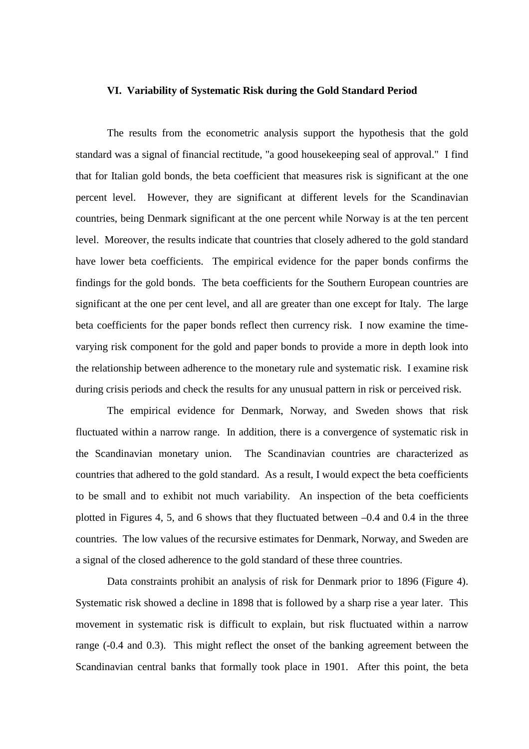#### **VI. Variability of Systematic Risk during the Gold Standard Period**

The results from the econometric analysis support the hypothesis that the gold standard was a signal of financial rectitude, "a good housekeeping seal of approval." I find that for Italian gold bonds, the beta coefficient that measures risk is significant at the one percent level. However, they are significant at different levels for the Scandinavian countries, being Denmark significant at the one percent while Norway is at the ten percent level. Moreover, the results indicate that countries that closely adhered to the gold standard have lower beta coefficients. The empirical evidence for the paper bonds confirms the findings for the gold bonds. The beta coefficients for the Southern European countries are significant at the one per cent level, and all are greater than one except for Italy. The large beta coefficients for the paper bonds reflect then currency risk. I now examine the timevarying risk component for the gold and paper bonds to provide a more in depth look into the relationship between adherence to the monetary rule and systematic risk. I examine risk during crisis periods and check the results for any unusual pattern in risk or perceived risk.

The empirical evidence for Denmark, Norway, and Sweden shows that risk fluctuated within a narrow range. In addition, there is a convergence of systematic risk in the Scandinavian monetary union. The Scandinavian countries are characterized as countries that adhered to the gold standard. As a result, I would expect the beta coefficients to be small and to exhibit not much variability. An inspection of the beta coefficients plotted in Figures 4, 5, and 6 shows that they fluctuated between –0.4 and 0.4 in the three countries. The low values of the recursive estimates for Denmark, Norway, and Sweden are a signal of the closed adherence to the gold standard of these three countries.

Data constraints prohibit an analysis of risk for Denmark prior to 1896 (Figure 4). Systematic risk showed a decline in 1898 that is followed by a sharp rise a year later. This movement in systematic risk is difficult to explain, but risk fluctuated within a narrow range (-0.4 and 0.3). This might reflect the onset of the banking agreement between the Scandinavian central banks that formally took place in 1901. After this point, the beta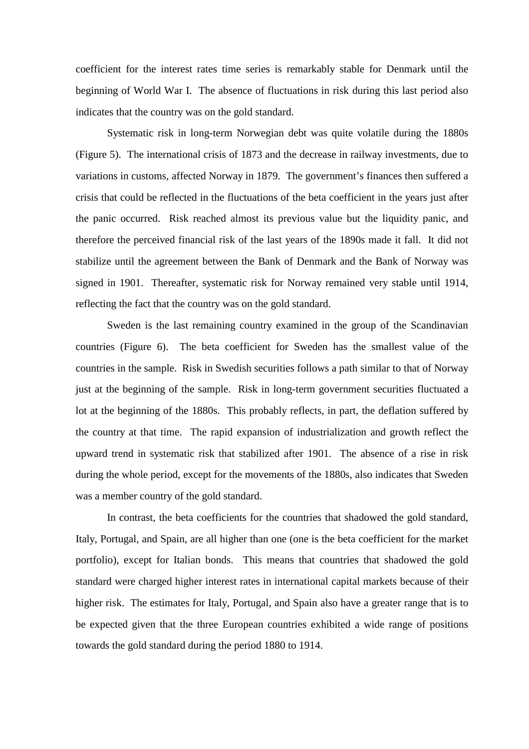coefficient for the interest rates time series is remarkably stable for Denmark until the beginning of World War I. The absence of fluctuations in risk during this last period also indicates that the country was on the gold standard.

Systematic risk in long-term Norwegian debt was quite volatile during the 1880s (Figure 5). The international crisis of 1873 and the decrease in railway investments, due to variations in customs, affected Norway in 1879. The government's finances then suffered a crisis that could be reflected in the fluctuations of the beta coefficient in the years just after the panic occurred. Risk reached almost its previous value but the liquidity panic, and therefore the perceived financial risk of the last years of the 1890s made it fall. It did not stabilize until the agreement between the Bank of Denmark and the Bank of Norway was signed in 1901. Thereafter, systematic risk for Norway remained very stable until 1914, reflecting the fact that the country was on the gold standard.

Sweden is the last remaining country examined in the group of the Scandinavian countries (Figure 6). The beta coefficient for Sweden has the smallest value of the countries in the sample. Risk in Swedish securities follows a path similar to that of Norway just at the beginning of the sample. Risk in long-term government securities fluctuated a lot at the beginning of the 1880s. This probably reflects, in part, the deflation suffered by the country at that time. The rapid expansion of industrialization and growth reflect the upward trend in systematic risk that stabilized after 1901. The absence of a rise in risk during the whole period, except for the movements of the 1880s, also indicates that Sweden was a member country of the gold standard.

In contrast, the beta coefficients for the countries that shadowed the gold standard, Italy, Portugal, and Spain, are all higher than one (one is the beta coefficient for the market portfolio), except for Italian bonds. This means that countries that shadowed the gold standard were charged higher interest rates in international capital markets because of their higher risk. The estimates for Italy, Portugal, and Spain also have a greater range that is to be expected given that the three European countries exhibited a wide range of positions towards the gold standard during the period 1880 to 1914.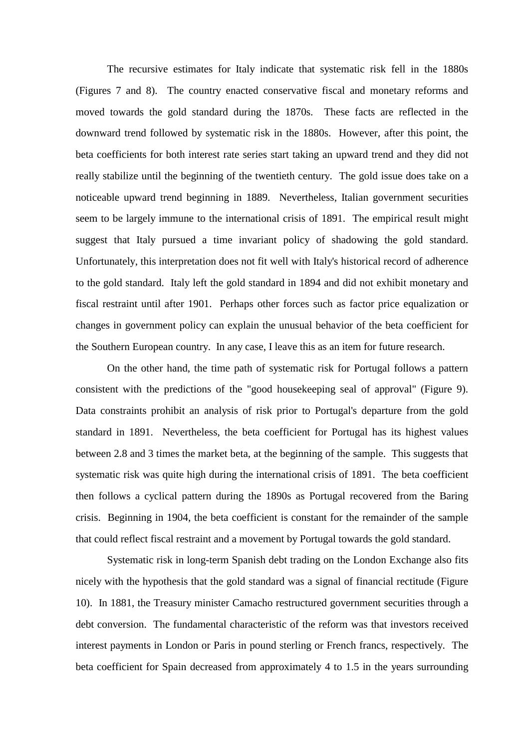The recursive estimates for Italy indicate that systematic risk fell in the 1880s (Figures 7 and 8). The country enacted conservative fiscal and monetary reforms and moved towards the gold standard during the 1870s. These facts are reflected in the downward trend followed by systematic risk in the 1880s. However, after this point, the beta coefficients for both interest rate series start taking an upward trend and they did not really stabilize until the beginning of the twentieth century. The gold issue does take on a noticeable upward trend beginning in 1889. Nevertheless, Italian government securities seem to be largely immune to the international crisis of 1891. The empirical result might suggest that Italy pursued a time invariant policy of shadowing the gold standard. Unfortunately, this interpretation does not fit well with Italy's historical record of adherence to the gold standard. Italy left the gold standard in 1894 and did not exhibit monetary and fiscal restraint until after 1901. Perhaps other forces such as factor price equalization or changes in government policy can explain the unusual behavior of the beta coefficient for the Southern European country. In any case, I leave this as an item for future research.

On the other hand, the time path of systematic risk for Portugal follows a pattern consistent with the predictions of the "good housekeeping seal of approval" (Figure 9). Data constraints prohibit an analysis of risk prior to Portugal's departure from the gold standard in 1891. Nevertheless, the beta coefficient for Portugal has its highest values between 2.8 and 3 times the market beta, at the beginning of the sample. This suggests that systematic risk was quite high during the international crisis of 1891. The beta coefficient then follows a cyclical pattern during the 1890s as Portugal recovered from the Baring crisis. Beginning in 1904, the beta coefficient is constant for the remainder of the sample that could reflect fiscal restraint and a movement by Portugal towards the gold standard.

Systematic risk in long-term Spanish debt trading on the London Exchange also fits nicely with the hypothesis that the gold standard was a signal of financial rectitude (Figure 10). In 1881, the Treasury minister Camacho restructured government securities through a debt conversion. The fundamental characteristic of the reform was that investors received interest payments in London or Paris in pound sterling or French francs, respectively. The beta coefficient for Spain decreased from approximately 4 to 1.5 in the years surrounding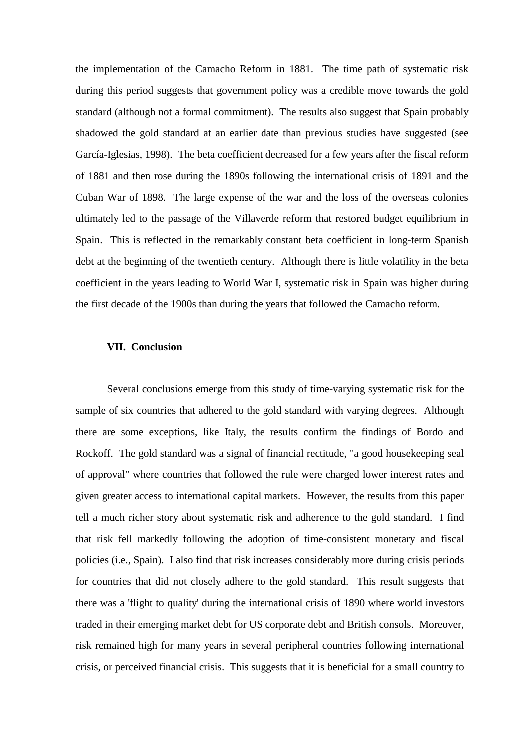the implementation of the Camacho Reform in 1881. The time path of systematic risk during this period suggests that government policy was a credible move towards the gold standard (although not a formal commitment). The results also suggest that Spain probably shadowed the gold standard at an earlier date than previous studies have suggested (see García-Iglesias, 1998). The beta coefficient decreased for a few years after the fiscal reform of 1881 and then rose during the 1890s following the international crisis of 1891 and the Cuban War of 1898. The large expense of the war and the loss of the overseas colonies ultimately led to the passage of the Villaverde reform that restored budget equilibrium in Spain. This is reflected in the remarkably constant beta coefficient in long-term Spanish debt at the beginning of the twentieth century. Although there is little volatility in the beta coefficient in the years leading to World War I, systematic risk in Spain was higher during the first decade of the 1900s than during the years that followed the Camacho reform.

#### **VII. Conclusion**

Several conclusions emerge from this study of time-varying systematic risk for the sample of six countries that adhered to the gold standard with varying degrees. Although there are some exceptions, like Italy, the results confirm the findings of Bordo and Rockoff. The gold standard was a signal of financial rectitude, "a good housekeeping seal of approval" where countries that followed the rule were charged lower interest rates and given greater access to international capital markets. However, the results from this paper tell a much richer story about systematic risk and adherence to the gold standard. I find that risk fell markedly following the adoption of time-consistent monetary and fiscal policies (i.e., Spain). I also find that risk increases considerably more during crisis periods for countries that did not closely adhere to the gold standard. This result suggests that there was a 'flight to quality' during the international crisis of 1890 where world investors traded in their emerging market debt for US corporate debt and British consols. Moreover, risk remained high for many years in several peripheral countries following international crisis, or perceived financial crisis. This suggests that it is beneficial for a small country to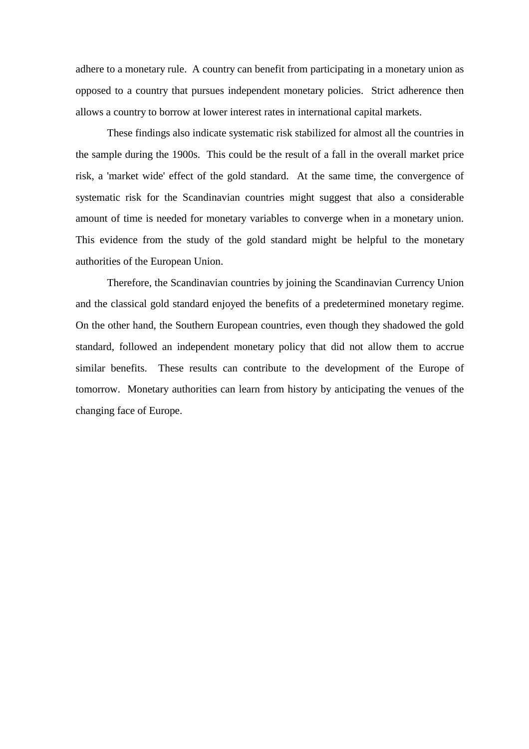adhere to a monetary rule. A country can benefit from participating in a monetary union as opposed to a country that pursues independent monetary policies. Strict adherence then allows a country to borrow at lower interest rates in international capital markets.

These findings also indicate systematic risk stabilized for almost all the countries in the sample during the 1900s. This could be the result of a fall in the overall market price risk, a 'market wide' effect of the gold standard. At the same time, the convergence of systematic risk for the Scandinavian countries might suggest that also a considerable amount of time is needed for monetary variables to converge when in a monetary union. This evidence from the study of the gold standard might be helpful to the monetary authorities of the European Union.

Therefore, the Scandinavian countries by joining the Scandinavian Currency Union and the classical gold standard enjoyed the benefits of a predetermined monetary regime. On the other hand, the Southern European countries, even though they shadowed the gold standard, followed an independent monetary policy that did not allow them to accrue similar benefits. These results can contribute to the development of the Europe of tomorrow. Monetary authorities can learn from history by anticipating the venues of the changing face of Europe.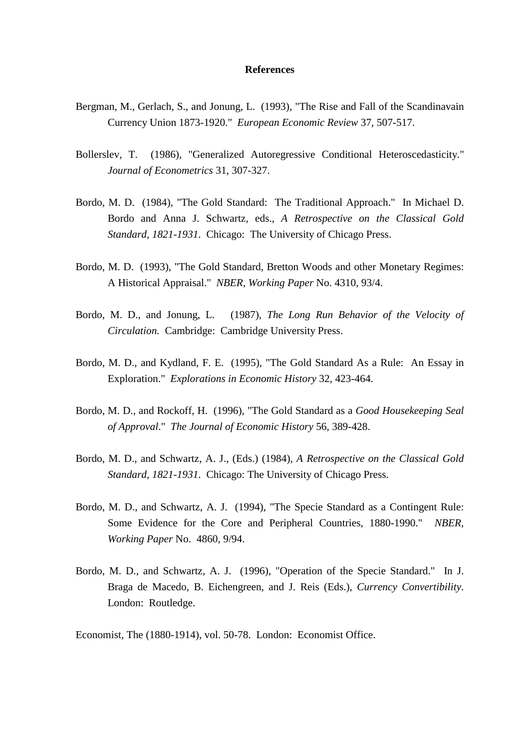#### **References**

- Bergman, M., Gerlach, S., and Jonung, L. (1993), "The Rise and Fall of the Scandinavain Currency Union 1873-1920." *European Economic Review* 37, 507-517.
- Bollerslev, T. (1986), "Generalized Autoregressive Conditional Heteroscedasticity." *Journal of Econometrics* 31, 307-327.
- Bordo, M. D. (1984), "The Gold Standard: The Traditional Approach." In Michael D. Bordo and Anna J. Schwartz, eds., *A Retrospective on the Classical Gold Standard, 1821-1931*. Chicago: The University of Chicago Press.
- Bordo, M. D. (1993), "The Gold Standard, Bretton Woods and other Monetary Regimes: A Historical Appraisal." *NBER, Working Paper* No. 4310, 93/4.
- Bordo, M. D., and Jonung, L. (1987), *The Long Run Behavior of the Velocity of Circulation.* Cambridge: Cambridge University Press.
- Bordo, M. D., and Kydland, F. E. (1995), "The Gold Standard As a Rule: An Essay in Exploration." *Explorations in Economic History* 32, 423-464.
- Bordo, M. D., and Rockoff, H. (1996), "The Gold Standard as a *Good Housekeeping Seal of Approval*." *The Journal of Economic History* 56, 389-428.
- Bordo, M. D., and Schwartz, A. J., (Eds.) (1984), *A Retrospective on the Classical Gold Standard, 1821-1931*. Chicago: The University of Chicago Press.
- Bordo, M. D., and Schwartz, A. J. (1994), "The Specie Standard as a Contingent Rule: Some Evidence for the Core and Peripheral Countries, 1880-1990." *NBER, Working Paper* No. 4860, 9/94.
- Bordo, M. D., and Schwartz, A. J. (1996), "Operation of the Specie Standard." In J. Braga de Macedo, B. Eichengreen, and J. Reis (Eds.), *Currency Convertibility*. London: Routledge.

Economist, The (1880-1914), vol. 50-78. London: Economist Office.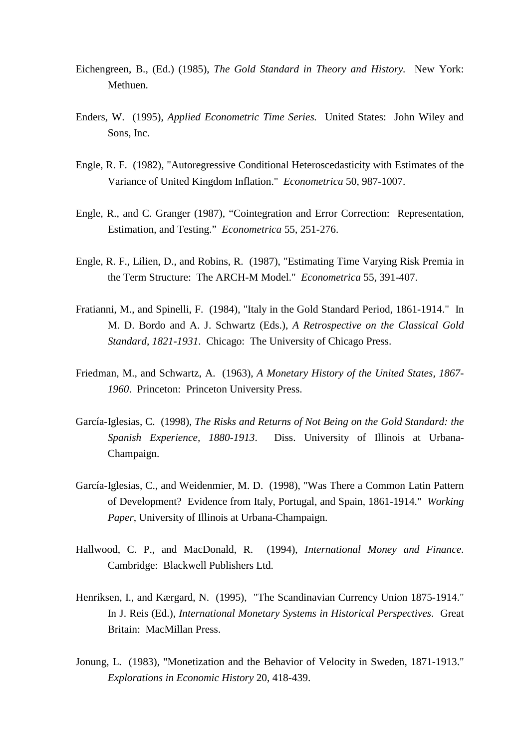- Eichengreen, B., (Ed.) (1985), *The Gold Standard in Theory and History.* New York: Methuen.
- Enders, W. (1995), *Applied Econometric Time Series.* United States: John Wiley and Sons, Inc.
- Engle, R. F. (1982), "Autoregressive Conditional Heteroscedasticity with Estimates of the Variance of United Kingdom Inflation." *Econometrica* 50, 987-1007.
- Engle, R., and C. Granger (1987), "Cointegration and Error Correction: Representation, Estimation, and Testing." *Econometrica* 55, 251-276.
- Engle, R. F., Lilien, D., and Robins, R. (1987), "Estimating Time Varying Risk Premia in the Term Structure: The ARCH-M Model." *Econometrica* 55, 391-407.
- Fratianni, M., and Spinelli, F. (1984), "Italy in the Gold Standard Period, 1861-1914." In M. D. Bordo and A. J. Schwartz (Eds.), *A Retrospective on the Classical Gold Standard, 1821-1931*. Chicago: The University of Chicago Press.
- Friedman, M., and Schwartz, A. (1963), *A Monetary History of the United States, 1867- 1960*. Princeton: Princeton University Press.
- García-Iglesias, C. (1998), *The Risks and Returns of Not Being on the Gold Standard: the Spanish Experience, 1880-1913*. Diss. University of Illinois at Urbana-Champaign.
- García-Iglesias, C., and Weidenmier, M. D. (1998), "Was There a Common Latin Pattern of Development? Evidence from Italy, Portugal, and Spain, 1861-1914." *Working Paper*, University of Illinois at Urbana-Champaign.
- Hallwood, C. P., and MacDonald, R. (1994), *International Money and Finance*. Cambridge: Blackwell Publishers Ltd.
- Henriksen, I., and Kærgard, N. (1995), "The Scandinavian Currency Union 1875-1914." In J. Reis (Ed.), *International Monetary Systems in Historical Perspectives*. Great Britain: MacMillan Press.
- Jonung, L. (1983), "Monetization and the Behavior of Velocity in Sweden, 1871-1913." *Explorations in Economic History* 20, 418-439.